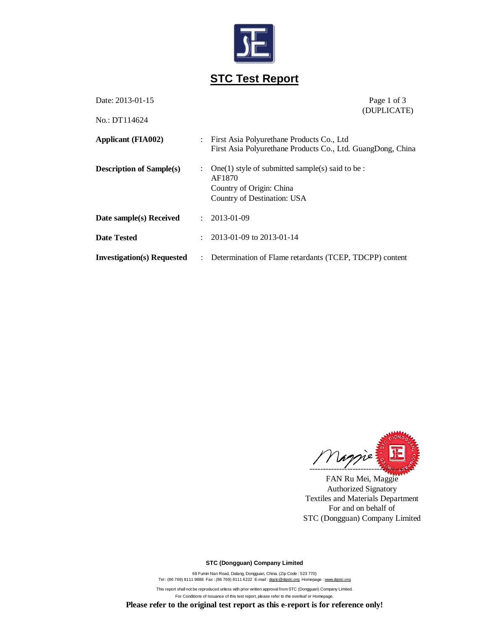

## **STC Test Report**

| Date: 2013-01-15                  |                | Page 1 of 3<br>(DUPLICATE)                                                                                            |
|-----------------------------------|----------------|-----------------------------------------------------------------------------------------------------------------------|
| No.: DT114624                     |                |                                                                                                                       |
| <b>Applicant (FIA002)</b>         |                | : First Asia Polyurethane Products Co., Ltd<br>First Asia Polyurethane Products Co., Ltd. GuangDong, China            |
| <b>Description of Sample(s)</b>   | $\ddot{\cdot}$ | One(1) style of submitted sample(s) said to be :<br>AF1870<br>Country of Origin: China<br>Country of Destination: USA |
| Date sample(s) Received           | ÷              | 2013-01-09                                                                                                            |
| <b>Date Tested</b>                |                | 2013-01-09 to 2013-01-14                                                                                              |
| <b>Investigation(s) Requested</b> | $\mathcal{L}$  | Determination of Flame retardants (TCEP, TDCPP) content                                                               |



FAN Ru Mei, Maggie Authorized Signatory Textiles and Materials Department For and on behalf of STC (Dongguan) Company Limited

**STC (Dongguan) Company Limited**

68 Fumin Nan Road, Dalang, Dongguan, China. (Zip Code : 523 770)<br>Tel : (86 769) 8111 9888 Fax : (86 769) 8111 6222 E-mail : <u>dgstc@dgstc.org</u> Homepage : <u>www.dgstc.org</u> This report shall not be reproduced unless with prior written approval from STC (Dongguan) Company Limited. For Conditions of Issuance of this test report, please refer to the overleaf or Homepage.

**Please refer to the original test report as this e-report is for reference only!**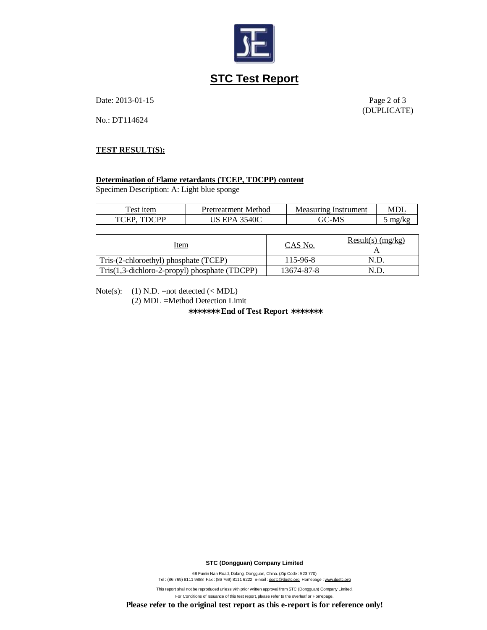

### **STC Test Report**

Date: 2013-01-15 Page 2 of 3

(DUPLICATE)

No.: DT114624

### **TEST RESULT(S):**

#### **Determination of Flame retardants (TCEP, TDCPP) content**

Specimen Description: A: Light blue sponge

| $\tau_{\rm est}$ .                | Method       | Measuring  | MD    |
|-----------------------------------|--------------|------------|-------|
| 1tem                              | Pretreatment | Instrument |       |
| <b><sup>ጥ</sup>ገገ</b> ጦ ወ<br>`L D | 3540C<br>HΡΔ | -MS        | mg/kg |

|                                                        |            | Result(s) $(mg/kg)$ |
|--------------------------------------------------------|------------|---------------------|
| <u>Item</u>                                            | CAS No.    |                     |
| Tris-(2-chloroethyl) phosphate (TCEP)                  | 115-96-8   | N.D.                |
| $Tris(1,3\text{-dichloro-2-propyl})$ phosphate (TDCPP) | 13674-87-8 | N.D                 |

Note(s): (1) N.D. = not detected  $(<sub>MDL</sub>)$ 

(2) MDL =Method Detection Limit

**\*\*\*\*\*\*\* End of Test Report \*\*\*\*\*\*\***

**STC (Dongguan) Company Limited**

For Conditions of Issuance of this test report, please refer to the overleaf or Homepage.